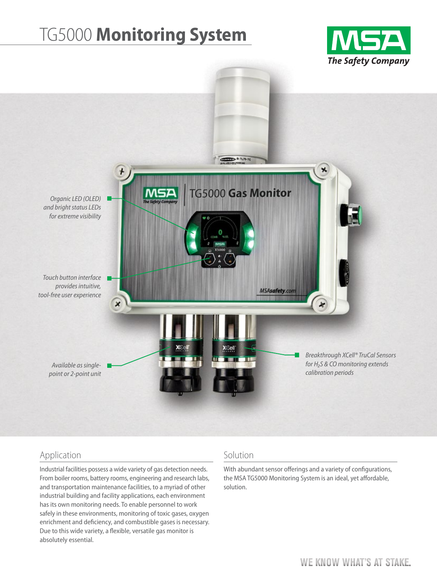# TG5000 **Monitoring System**





# Application

Industrial facilities possess a wide variety of gas detection needs. From boiler rooms, battery rooms, engineering and research labs, and transportation maintenance facilities, to a myriad of other industrial building and facility applications, each environment has its own monitoring needs. To enable personnel to work safely in these environments, monitoring of toxic gases, oxygen enrichment and deficiency, and combustible gases is necessary. Due to this wide variety, a flexible, versatile gas monitor is absolutely essential.

#### Solution

With abundant sensor offerings and a variety of configurations, the MSA TG5000 Monitoring System is an ideal, yet affordable, solution.